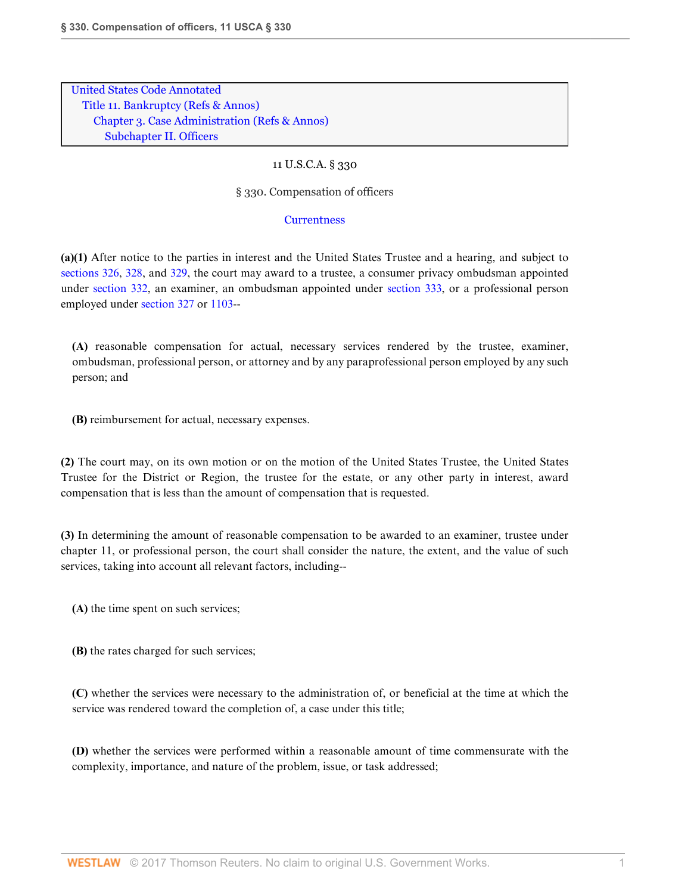[United States Code Annotated](http://www.westlaw.com/Browse/Home/StatutesCourtRules/UnitedStatesCodeAnnotatedUSCA?transitionType=DocumentItem&contextData=(sc.Search)&rs=clbt1.0&vr=3.0) [Title 11. Bankruptcy](http://www.westlaw.com/Browse/Home/StatutesCourtRules/UnitedStatesCodeAnnotatedUSCA?guid=N816FE66124424475A52637192E3974D7&transitionType=DocumentItem&contextData=(sc.Search)&rs=clbt1.0&vr=3.0) [\(Refs & Annos\)](http://www.westlaw.com/Link/Document/FullText?findType=l&cite=lk(11USCAD)+lk(11USCAR)&originatingDoc=NCA9388A01AFF11DA9B9CC05FFDEF1DFC&refType=CM&sourceCite=11+U.S.C.A.+%c2%a7+330&originationContext=document&vr=3.0&rs=cblt1.0&transitionType=DocumentItem&pubNum=1000546&contextData=(sc.Search)) [Chapter 3. Case Administration](http://www.westlaw.com/Browse/Home/StatutesCourtRules/UnitedStatesCodeAnnotatedUSCA?guid=N84E7EA21E6DB47E2AC43DBBCCDC417BD&transitionType=DocumentItem&contextData=(sc.Search)&rs=clbt1.0&vr=3.0) [\(Refs & Annos\)](http://www.westlaw.com/Link/Document/FullText?findType=l&cite=lk(11USCA3R)&originatingDoc=NCA9388A01AFF11DA9B9CC05FFDEF1DFC&refType=CM&sourceCite=11+U.S.C.A.+%c2%a7+330&originationContext=document&vr=3.0&rs=cblt1.0&transitionType=DocumentItem&pubNum=1000546&contextData=(sc.Search)) [Subchapter II. Officers](http://www.westlaw.com/Browse/Home/StatutesCourtRules/UnitedStatesCodeAnnotatedUSCA?guid=NF81C5D802CF64EC18F66E787F50060F5&transitionType=DocumentItem&contextData=(sc.Search)&rs=clbt1.0&vr=3.0)

## 11 U.S.C.A. § 330

§ 330. Compensation of officers

## **[Currentness](#page-2-0)**

**(a)(1)** After notice to the parties in interest and the United States Trustee and a hearing, and subject to [sections 326,](http://www.westlaw.com/Link/Document/FullText?findType=L&pubNum=1000546&cite=11USCAS326&originatingDoc=NCA9388A01AFF11DA9B9CC05FFDEF1DFC&refType=LQ&originationContext=document&vr=3.0&rs=cblt1.0&transitionType=DocumentItem&contextData=(sc.Search)) [328](http://www.westlaw.com/Link/Document/FullText?findType=L&pubNum=1000546&cite=11USCAS328&originatingDoc=NCA9388A01AFF11DA9B9CC05FFDEF1DFC&refType=LQ&originationContext=document&vr=3.0&rs=cblt1.0&transitionType=DocumentItem&contextData=(sc.Search)), and [329,](http://www.westlaw.com/Link/Document/FullText?findType=L&pubNum=1000546&cite=11USCAS329&originatingDoc=NCA9388A01AFF11DA9B9CC05FFDEF1DFC&refType=LQ&originationContext=document&vr=3.0&rs=cblt1.0&transitionType=DocumentItem&contextData=(sc.Search)) the court may award to a trustee, a consumer privacy ombudsman appointed under [section 332,](http://www.westlaw.com/Link/Document/FullText?findType=L&pubNum=1000546&cite=11USCAS332&originatingDoc=NCA9388A01AFF11DA9B9CC05FFDEF1DFC&refType=LQ&originationContext=document&vr=3.0&rs=cblt1.0&transitionType=DocumentItem&contextData=(sc.Search)) an examiner, an ombudsman appointed under [section 333,](http://www.westlaw.com/Link/Document/FullText?findType=L&pubNum=1000546&cite=11USCAS333&originatingDoc=NCA9388A01AFF11DA9B9CC05FFDEF1DFC&refType=LQ&originationContext=document&vr=3.0&rs=cblt1.0&transitionType=DocumentItem&contextData=(sc.Search)) or a professional person employed under [section 327](http://www.westlaw.com/Link/Document/FullText?findType=L&pubNum=1000546&cite=11USCAS327&originatingDoc=NCA9388A01AFF11DA9B9CC05FFDEF1DFC&refType=LQ&originationContext=document&vr=3.0&rs=cblt1.0&transitionType=DocumentItem&contextData=(sc.Search)) or [1103-](http://www.westlaw.com/Link/Document/FullText?findType=L&pubNum=1000546&cite=11USCAS1103&originatingDoc=NCA9388A01AFF11DA9B9CC05FFDEF1DFC&refType=LQ&originationContext=document&vr=3.0&rs=cblt1.0&transitionType=DocumentItem&contextData=(sc.Search))-

**(A)** reasonable compensation for actual, necessary services rendered by the trustee, examiner, ombudsman, professional person, or attorney and by any paraprofessional person employed by any such person; and

**(B)** reimbursement for actual, necessary expenses.

**(2)** The court may, on its own motion or on the motion of the United States Trustee, the United States Trustee for the District or Region, the trustee for the estate, or any other party in interest, award compensation that is less than the amount of compensation that is requested.

**(3)** In determining the amount of reasonable compensation to be awarded to an examiner, trustee under chapter 11, or professional person, the court shall consider the nature, the extent, and the value of such services, taking into account all relevant factors, including--

**(A)** the time spent on such services;

**(B)** the rates charged for such services;

**(C)** whether the services were necessary to the administration of, or beneficial at the time at which the service was rendered toward the completion of, a case under this title;

**(D)** whether the services were performed within a reasonable amount of time commensurate with the complexity, importance, and nature of the problem, issue, or task addressed;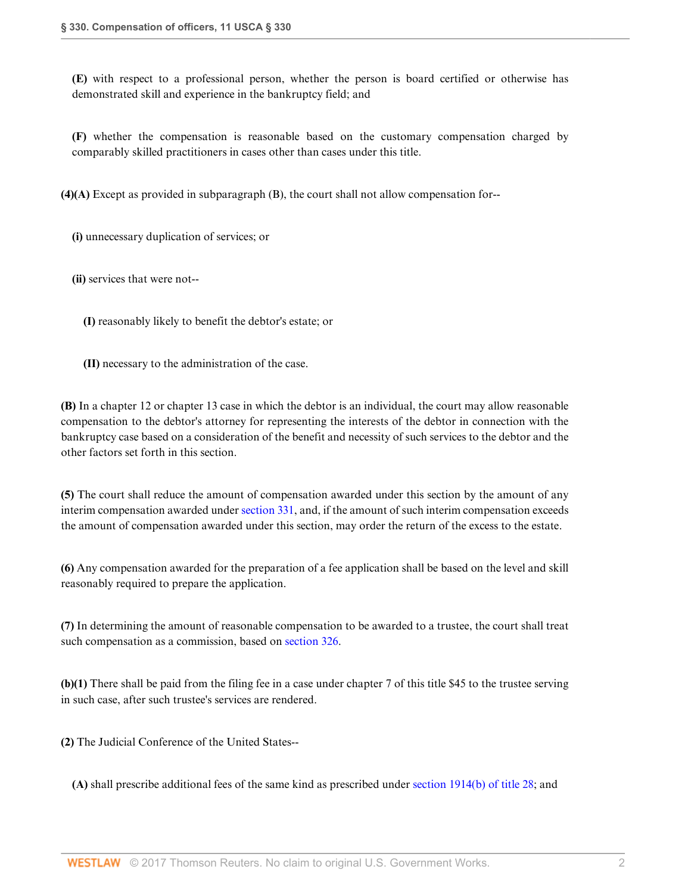**(E)** with respect to a professional person, whether the person is board certified or otherwise has demonstrated skill and experience in the bankruptcy field; and

**(F)** whether the compensation is reasonable based on the customary compensation charged by comparably skilled practitioners in cases other than cases under this title.

**(4)(A)** Except as provided in subparagraph (B), the court shall not allow compensation for--

**(i)** unnecessary duplication of services; or

**(ii)** services that were not--

**(I)** reasonably likely to benefit the debtor's estate; or

**(II)** necessary to the administration of the case.

**(B)** In a chapter 12 or chapter 13 case in which the debtor is an individual, the court may allow reasonable compensation to the debtor's attorney for representing the interests of the debtor in connection with the bankruptcy case based on a consideration of the benefit and necessity of such services to the debtor and the other factors set forth in this section.

**(5)** The court shall reduce the amount of compensation awarded under this section by the amount of any interim compensation awarded under [section 331,](http://www.westlaw.com/Link/Document/FullText?findType=L&pubNum=1000546&cite=11USCAS331&originatingDoc=NCA9388A01AFF11DA9B9CC05FFDEF1DFC&refType=LQ&originationContext=document&vr=3.0&rs=cblt1.0&transitionType=DocumentItem&contextData=(sc.Search)) and, if the amount of such interim compensation exceeds the amount of compensation awarded under this section, may order the return of the excess to the estate.

**(6)** Any compensation awarded for the preparation of a fee application shall be based on the level and skill reasonably required to prepare the application.

**(7)** In determining the amount of reasonable compensation to be awarded to a trustee, the court shall treat such compensation as a commission, based on [section 326.](http://www.westlaw.com/Link/Document/FullText?findType=L&pubNum=1000546&cite=11USCAS326&originatingDoc=NCA9388A01AFF11DA9B9CC05FFDEF1DFC&refType=LQ&originationContext=document&vr=3.0&rs=cblt1.0&transitionType=DocumentItem&contextData=(sc.Search))

**(b)(1)** There shall be paid from the filing fee in a case under chapter 7 of this title \$45 to the trustee serving in such case, after such trustee's services are rendered.

**(2)** The Judicial Conference of the United States--

**(A)** shall prescribe additional fees of the same kind as prescribed under [section 1914\(b\) of title 28](http://www.westlaw.com/Link/Document/FullText?findType=L&pubNum=1000546&cite=28USCAS1914&originatingDoc=NCA9388A01AFF11DA9B9CC05FFDEF1DFC&refType=RB&originationContext=document&vr=3.0&rs=cblt1.0&transitionType=DocumentItem&contextData=(sc.Search)#co_pp_a83b000018c76); and